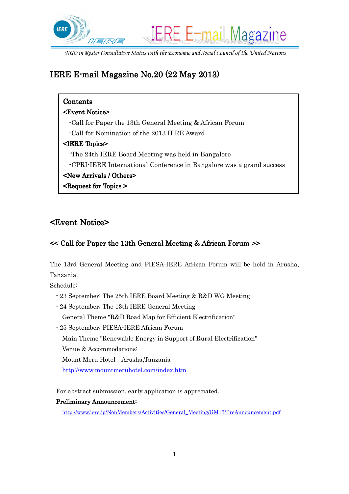

# IERE E-mail Magazine No.  $20(22 \text{ May } 2013)$

| Contents                                                             |
|----------------------------------------------------------------------|
| <b><event notice=""></event></b>                                     |
| Call for Paper the 13th General Meeting & African Forum              |
| -Call for Nomination of the 2013 IERE Award                          |
| $\leq$ IERE Topics>                                                  |
| The 24th IERE Board Meeting was held in Bangalore                    |
| -CPRI-IERE International Conference in Bangalore was a grand success |
| <new arrivals="" others=""></new>                                    |
| <b><request for="" topics=""></request></b>                          |

## <Event Notice> <Event Notice>

### $<<$  Call for Paper the 13th General Meeting & African Forum  $>>$

The 13rd General Meeting and PIESA-IERE African Forum will be held in Arusha, Tanzania.

Schedule:

- 23 September; The 25th IERE Board Meeting & R&D WG Meeting
- 24 September; The 13th IERE General Meeting General Theme "R&D Road Map for Efficient Electrification"
- 25 September; PIESA-IERE African Forum
	- Main Theme "Renewable Energy in Support of Rural Electrification"

Venue & Accommodations:

Mount Meru Hotel Arusha,Tanzania

http://www.mountmeruhotel.com/index.htm

For abstract submission, early application is appreciated.

#### Preliminary Announcement:

http://www.iere.jp/NonMembers/Activities/General\_Meeting/GM13/PreAnnouncement.pdf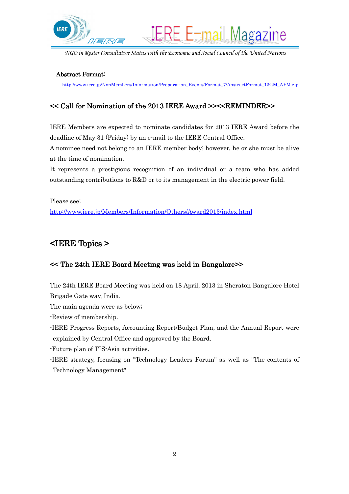

**IERE E-mail Magazine** 

#### Abstract Format:

http://www.iere.jp/NonMembers/Information/Preparation\_Events/Format\_7/AbstractFormat\_13GM\_AFM.zip

### << Call for Nomination of the 2013 IERE Award >><<REMINDER>> EMINDER>>

IERE Members are expected to nominate candidates for 2013 IERE Award before the deadline of May 31 (Friday) by an e-mail to the IERE Central Office.

A nominee need not belong to an IERE member body; however, he or she must be alive at the time of nomination.

It represents a prestigious recognition of an individual or a team who has added outstanding contributions to R&D or to its management in the electric power field.

Please see;

http://www.iere.jp/Members/Information/Others/Award2013/index.html

### $\leq$ IERE Topics  $\geq$

#### << The 24th IERE Board Meeting was held in Bangalore>>

The 24th IERE Board Meeting was held on 18 April, 2013 in Sheraton Bangalore Hotel Brigade Gate way, India.

The main agenda were as below;

-Review of membership.

-IERE Progress Reports, Accounting Report/Budget Plan, and the Annual Report were explained by Central Office and approved by the Board.

-Future plan of TIS-Asia activities.

-IERE strategy, focusing on "Technology Leaders Forum" as well as "The contents of Technology Management"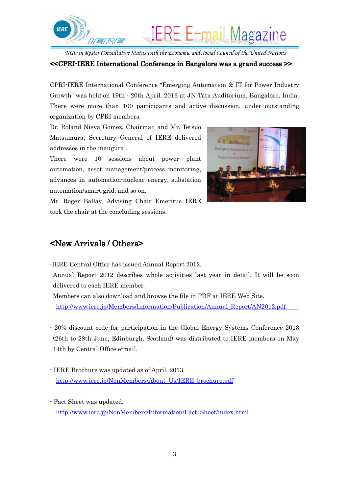

 $<<$ CPRI-IERE International Conference in Bangalore was a grand success  $>$ 

CPRI-IERE International Conference "Emerging Automation & IT for Power Industry Growth" was held on 19th - 20th April, 2013 at JN Tata Auditorium, Bangalore, India. There were more than 100 participants and active discussion, under outstanding organization by CPRI members.

Dr. Roland Nieva Gomez, Chairman and Mr. Tetsuo Matsumura, Secretary General of IERE delivered addresses in the inaugural.

There were 10 sessions about power plant automation, asset management/process monitoring, advances in automation-nuclear energy, substation automation/smart grid, and so on.



Mr. Roger Ballay, Advising Chair Emeritus IERE took the chair at the concluding sessions.

### $\leq$ New Arrivals / Others $\geq$

-IERE Central Office has issued Annual Report 2012.

Annual Report 2012 describes whole activities last year in detail. It will be soon delivered to each IERE member.

Members can also download and browse the file in PDF at IERE Web Site. http://www.iere.jp/Members/Information/Publication/Annual\_Report/AN2012.pdf

- 20% discount code for participation in the Global Energy Systems Conference 2013 (26th to 28th June, Edinburgh, Scotland) was distributed to IERE members on May 14th by Central Office e-mail.

- IERE Brochure was updated as of April, 2013. http://www.iere.jp/NonMembers/About\_Us/IERE\_brochure.pdf
- Fact Sheet was updated. http://www.iere.jp/NonMembers/Information/Fact\_Sheet/index.html